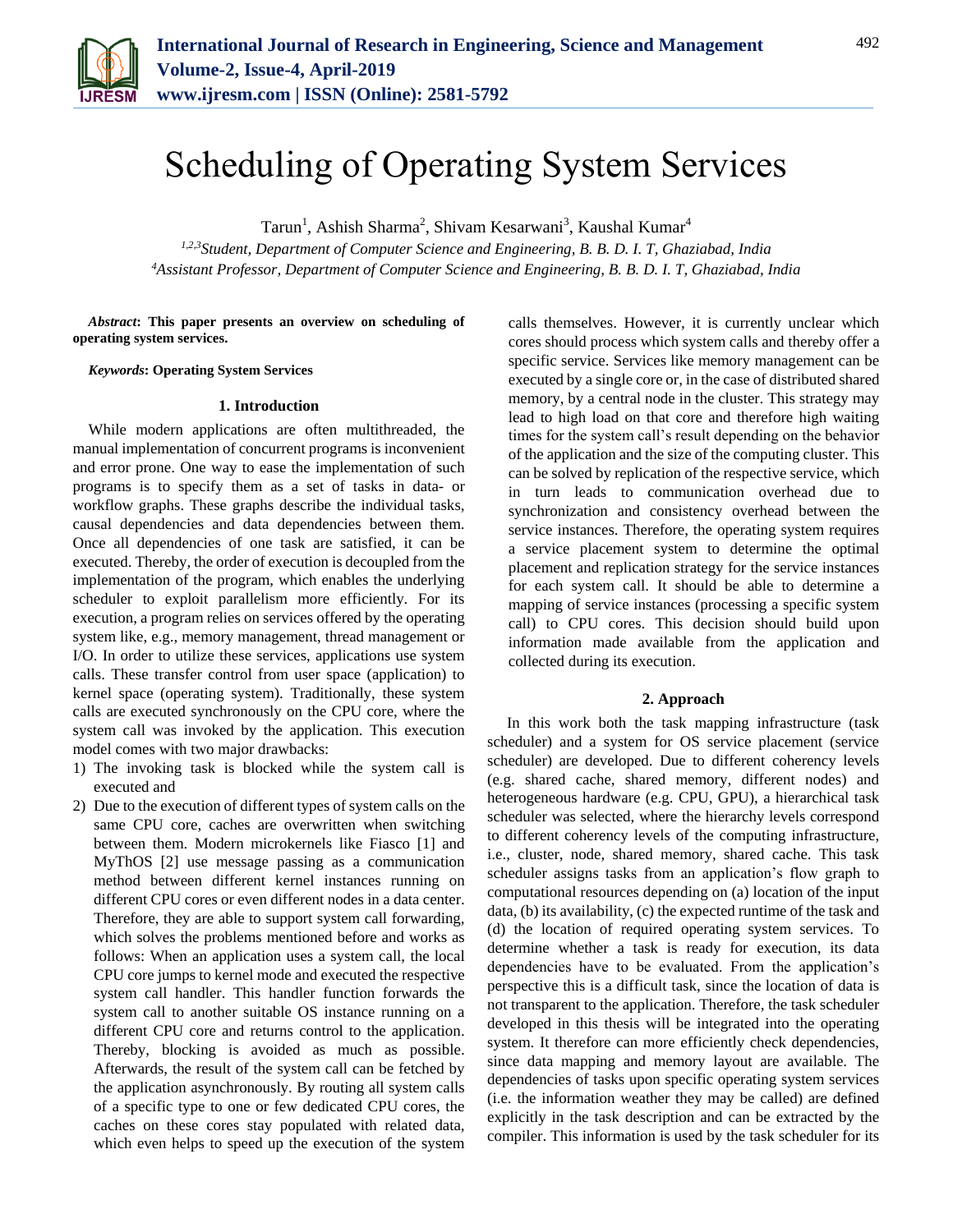

# Scheduling of Operating System Services

Tarun<sup>1</sup>, Ashish Sharma<sup>2</sup>, Shivam Kesarwani<sup>3</sup>, Kaushal Kumar<sup>4</sup>

*1,2,3Student, Department of Computer Science and Engineering, B. B. D. I. T, Ghaziabad, India 4Assistant Professor, Department of Computer Science and Engineering, B. B. D. I. T, Ghaziabad, India*

*Abstract***: This paper presents an overview on scheduling of operating system services.**

*Keywords***: Operating System Services**

### **1. Introduction**

While modern applications are often multithreaded, the manual implementation of concurrent programs is inconvenient and error prone. One way to ease the implementation of such programs is to specify them as a set of tasks in data- or workflow graphs. These graphs describe the individual tasks, causal dependencies and data dependencies between them. Once all dependencies of one task are satisfied, it can be executed. Thereby, the order of execution is decoupled from the implementation of the program, which enables the underlying scheduler to exploit parallelism more efficiently. For its execution, a program relies on services offered by the operating system like, e.g., memory management, thread management or I/O. In order to utilize these services, applications use system calls. These transfer control from user space (application) to kernel space (operating system). Traditionally, these system calls are executed synchronously on the CPU core, where the system call was invoked by the application. This execution model comes with two major drawbacks:

- 1) The invoking task is blocked while the system call is executed and
- 2) Due to the execution of different types of system calls on the same CPU core, caches are overwritten when switching between them. Modern microkernels like Fiasco [1] and MyThOS [2] use message passing as a communication method between different kernel instances running on different CPU cores or even different nodes in a data center. Therefore, they are able to support system call forwarding, which solves the problems mentioned before and works as follows: When an application uses a system call, the local CPU core jumps to kernel mode and executed the respective system call handler. This handler function forwards the system call to another suitable OS instance running on a different CPU core and returns control to the application. Thereby, blocking is avoided as much as possible. Afterwards, the result of the system call can be fetched by the application asynchronously. By routing all system calls of a specific type to one or few dedicated CPU cores, the caches on these cores stay populated with related data, which even helps to speed up the execution of the system

calls themselves. However, it is currently unclear which cores should process which system calls and thereby offer a specific service. Services like memory management can be executed by a single core or, in the case of distributed shared memory, by a central node in the cluster. This strategy may lead to high load on that core and therefore high waiting times for the system call's result depending on the behavior of the application and the size of the computing cluster. This can be solved by replication of the respective service, which in turn leads to communication overhead due to synchronization and consistency overhead between the service instances. Therefore, the operating system requires a service placement system to determine the optimal placement and replication strategy for the service instances for each system call. It should be able to determine a mapping of service instances (processing a specific system call) to CPU cores. This decision should build upon information made available from the application and collected during its execution.

## **2. Approach**

In this work both the task mapping infrastructure (task scheduler) and a system for OS service placement (service scheduler) are developed. Due to different coherency levels (e.g. shared cache, shared memory, different nodes) and heterogeneous hardware (e.g. CPU, GPU), a hierarchical task scheduler was selected, where the hierarchy levels correspond to different coherency levels of the computing infrastructure, i.e., cluster, node, shared memory, shared cache. This task scheduler assigns tasks from an application's flow graph to computational resources depending on (a) location of the input data, (b) its availability, (c) the expected runtime of the task and (d) the location of required operating system services. To determine whether a task is ready for execution, its data dependencies have to be evaluated. From the application's perspective this is a difficult task, since the location of data is not transparent to the application. Therefore, the task scheduler developed in this thesis will be integrated into the operating system. It therefore can more efficiently check dependencies, since data mapping and memory layout are available. The dependencies of tasks upon specific operating system services (i.e. the information weather they may be called) are defined explicitly in the task description and can be extracted by the compiler. This information is used by the task scheduler for its